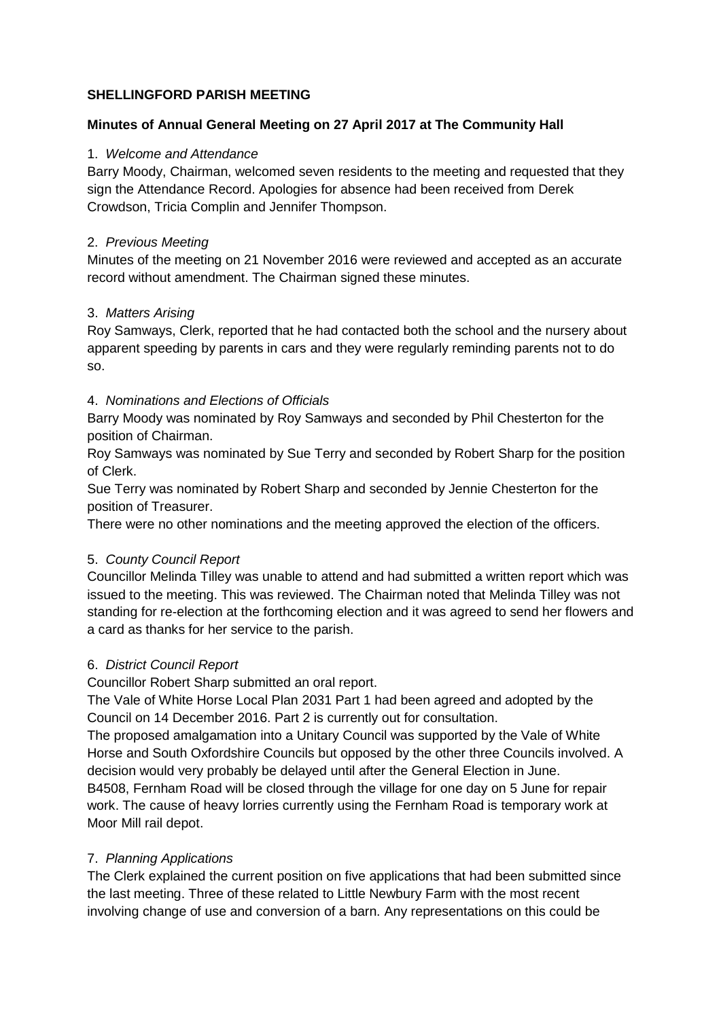### **SHELLINGFORD PARISH MEETING**

### **Minutes of Annual General Meeting on 27 April 2017 at The Community Hall**

### 1. *Welcome and Attendance*

Barry Moody, Chairman, welcomed seven residents to the meeting and requested that they sign the Attendance Record. Apologies for absence had been received from Derek Crowdson, Tricia Complin and Jennifer Thompson.

### 2. *Previous Meeting*

Minutes of the meeting on 21 November 2016 were reviewed and accepted as an accurate record without amendment. The Chairman signed these minutes.

### 3. *Matters Arising*

Roy Samways, Clerk, reported that he had contacted both the school and the nursery about apparent speeding by parents in cars and they were regularly reminding parents not to do so.

### 4. *Nominations and Elections of Officials*

Barry Moody was nominated by Roy Samways and seconded by Phil Chesterton for the position of Chairman.

Roy Samways was nominated by Sue Terry and seconded by Robert Sharp for the position of Clerk.

Sue Terry was nominated by Robert Sharp and seconded by Jennie Chesterton for the position of Treasurer.

There were no other nominations and the meeting approved the election of the officers.

### 5. *County Council Report*

Councillor Melinda Tilley was unable to attend and had submitted a written report which was issued to the meeting. This was reviewed. The Chairman noted that Melinda Tilley was not standing for re-election at the forthcoming election and it was agreed to send her flowers and a card as thanks for her service to the parish.

### 6. *District Council Report*

Councillor Robert Sharp submitted an oral report.

The Vale of White Horse Local Plan 2031 Part 1 had been agreed and adopted by the Council on 14 December 2016. Part 2 is currently out for consultation.

The proposed amalgamation into a Unitary Council was supported by the Vale of White Horse and South Oxfordshire Councils but opposed by the other three Councils involved. A decision would very probably be delayed until after the General Election in June. B4508, Fernham Road will be closed through the village for one day on 5 June for repair work. The cause of heavy lorries currently using the Fernham Road is temporary work at Moor Mill rail depot.

# 7. *Planning Applications*

The Clerk explained the current position on five applications that had been submitted since the last meeting. Three of these related to Little Newbury Farm with the most recent involving change of use and conversion of a barn. Any representations on this could be